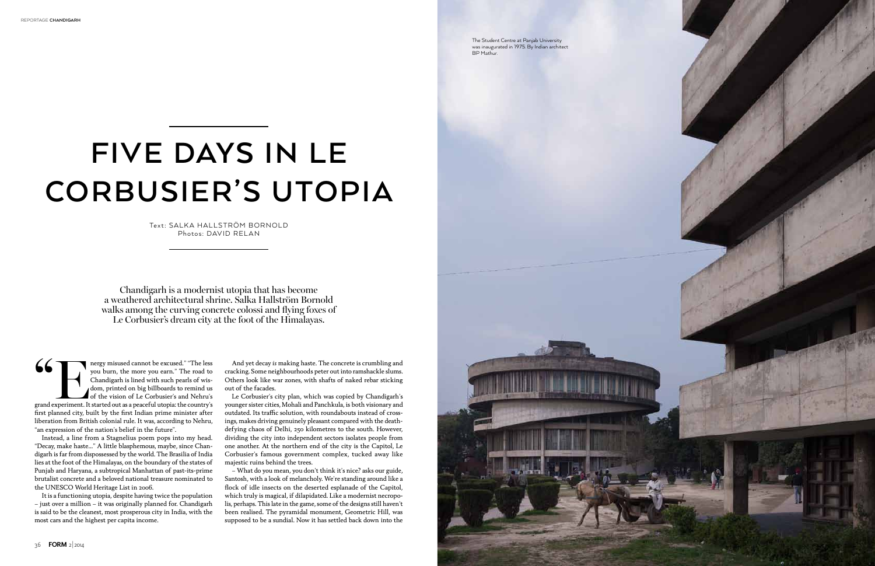

## **Five Days in Le Corbusier's Utopia**

Text: salka hallström bornold Photos: DAVID RELAN

Chandigarh is a modernist utopia that has become a weathered architectural shrine. Salka Hallström Bornold walks among the curving concrete colossi and flying foxes of Le Corbusier's dream city at the foot of the Himalayas.

Sum the more you earn." The less you burn, the more you earn." The road to Chandigarh is lined with such pearls of wis-<br>dom, printed on big billboards to remind us grand experiment. It started out as a peaceful utopia: the you burn, the more you earn." The road to Chandigarh is lined with such pearls of wisdom, printed on big billboards to remind us of the vision of Le Corbusier's and Nehru's first planned city, built by the first Indian prime minister after liberation from British colonial rule. It was, according to Nehru, "an expression of the nation's belief in the future".

Instead, a line from a Stagnelius poem pops into my head. "Decay, make haste…" A little blasphemous, maybe, since Chandigarh is far from dispossessed by the world. The Brasilia of India lies at the foot of the Himalayas, on the boundary of the states of Punjab and Haryana, a subtropical Manhattan of past-its-prime brutalist concrete and a beloved national treasure nominated to the UNESCO World Heritage List in 2006.

It is a functioning utopia, despite having twice the population – just over a million – it was originally planned for. Chandigarh is said to be the cleanest, most prosperous city in India, with the most cars and the highest per capita income.

And yet decay *is* making haste. The concrete is crumbling and cracking. Some neighbourhoods peter out into ramshackle slums. Others look like war zones, with shafts of naked rebar sticking out of the facades.

Le Corbusier's city plan, which was copied by Chandigarh's younger sister cities, Mohali and Panchkula, is both visionary and outdated. Its traffic solution, with roundabouts instead of crossings, makes driving genuinely pleasant compared with the deathdefying chaos of Delhi, 250 kilometres to the south. However, dividing the city into independent sectors isolates people from one another. At the northern end of the city is the Capitol, Le Corbusier's famous government complex, tucked away like majestic ruins behind the trees.

– What do you mean, you don't think it's nice? asks our guide, Santosh, with a look of melancholy. We're standing around like a flock of idle insects on the deserted esplanade of the Capitol, which truly is magical, if dilapidated. Like a modernist necropolis, perhaps. This late in the game, some of the designs still haven't been realised. The pyramidal monument, Geometric Hill, was supposed to be a sundial. Now it has settled back down into the

The Student Centre at Panjab University was inaugurated in 1975. By Indian architect BP Mathur.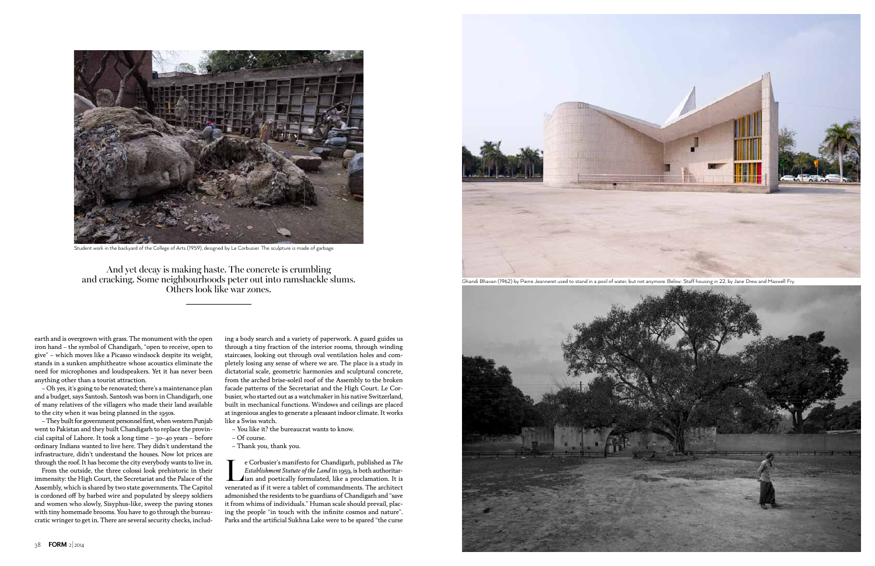

earth and is overgrown with grass. The monument with the open iron hand – the symbol of Chandigarh, "open to receive, open to give" – which moves like a Picasso windsock despite its weight, stands in a sunken amphitheatre whose acoustics eliminate the need for microphones and loudspeakers. Yet it has never been anything other than a tourist attraction.

– Oh yes, it's going to be renovated; there's a maintenance plan and a budget, says Santosh. Santosh was born in Chandigarh, one of many relatives of the villagers who made their land available to the city when it was being planned in the 1950s.

– They built for government personnel first, when western Punjab went to Pakistan and they built Chandigarh to replace the provincial capital of Lahore. It took a long time – 30–40 years – before ordinary Indians wanted to live here. They didn't understand the infrastructure, didn't understand the houses. Now lot prices are through the roof. It has become the city everybody wants to live in.

From the outside, the three colossi look prehistoric in their immensity: the High Court, the Secretariat and the Palace of the Assembly, which is shared by two state governments. The Capitol is cordoned off by barbed wire and populated by sleepy soldiers and women who slowly, Sisyphus-like, sweep the paving stones with tiny homemade brooms. You have to go through the bureaucratic wringer to get in. There are several security checks, includ-

Extablishment Statute of the Land in 1959, is both authoritarian and poetically formulated, like a proclamation. It is *Establishment Statute of the Land* in 1959, is both authoritar**i** ian and poetically formulated, like a proclamation. It is venerated as if it were a tablet of commandments. The architect admonished the residents to be guardians of Chandigarh and "save it from whims of individuals." Human scale should prevail, placing the people "in touch with the infinite cosmos and nature". Parks and the artificial Sukhna Lake were to be spared "the curse

ing a body search and a variety of paperwork. A guard guides us through a tiny fraction of the interior rooms, through winding staircases, looking out through oval ventilation holes and completely losing any sense of where we are. The place is a study in dictatorial scale, geometric harmonies and sculptural concrete, from the arched brise-soleil roof of the Assembly to the broken facade patterns of the Secretariat and the High Court. Le Corbusier, who started out as a watchmaker in his native Switzerland, built in mechanical functions. Windows and ceilings are placed at ingenious angles to generate a pleasant indoor climate. It works like a Swiss watch.

- You like it? the bureaucrat wants to know.
- Of course.
- Thank you, thank you.

And yet decay is making haste. The concrete is crumbling and cracking. Some neighbourhoods peter out into ramshackle slums. Others look like war zones.



Ghandi Bhavan (1962) by Pierre Jeanneret used to stand in a pool of water, but not anymore. Below: Staff housing in 22, by Jane Drew and Maxwell Fry.



Student work in the backyard of the College of Arts (1959), designed by Le Corbusier. The sculpture is made of garbage.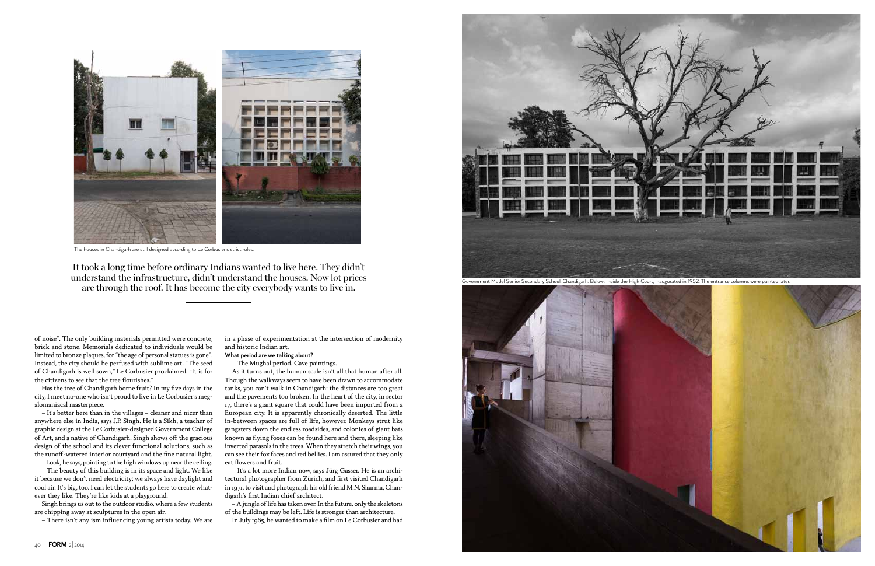of noise". The only building materials permitted were concrete, brick and stone. Memorials dedicated to individuals would be limited to bronze plaques, for "the age of personal statues is gone". Instead, the city should be perfused with sublime art. "The seed of Chandigarh is well sown," Le Corbusier proclaimed. "It is for the citizens to see that the tree flourishes."

Has the tree of Chandigarh borne fruit? In my five days in the city, I meet no-one who isn't proud to live in Le Corbusier's megalomaniacal masterpiece.

– It's better here than in the villages – cleaner and nicer than anywhere else in India, says J.P. Singh. He is a Sikh, a teacher of graphic design at the Le Corbusier-designed Government College of Art, and a native of Chandigarh. Singh shows off the gracious design of the school and its clever functional solutions, such as the runoff-watered interior courtyard and the fine natural light.

– Look, he says, pointing to the high windows up near the ceiling.

– The beauty of this building is in its space and light. We like it because we don't need electricity; we always have daylight and cool air. It's big, too. I can let the students go here to create whatever they like. They're like kids at a playground.

Singh brings us out to the outdoor studio, where a few students are chipping away at sculptures in the open air.

– There isn't any ism influencing young artists today. We are

in a phase of experimentation at the intersection of modernity and historic Indian art.

**What period are we talking about?**



– The Mughal period. Cave paintings.

As it turns out, the human scale isn't all that human after all. Though the walkways seem to have been drawn to accommodate tanks, you can't walk in Chandigarh: the distances are too great and the pavements too broken. In the heart of the city, in sector 17, there's a giant square that could have been imported from a European city. It is apparently chronically deserted. The little in-between spaces are full of life, however. Monkeys strut like gangsters down the endless roadsides, and colonies of giant bats known as flying foxes can be found here and there, sleeping like inverted parasols in the trees. When they stretch their wings, you can see their fox faces and red bellies. I am assured that they only eat flowers and fruit.

– It's a lot more Indian now, says Jürg Gasser. He is an architectural photographer from Zürich, and first visited Chandigarh in 1971, to visit and photograph his old friend M.N. Sharma, Chandigarh's first Indian chief architect.

– A jungle of life has taken over. In the future, only the skeletons of the buildings may be left. Life is stronger than architecture.

In July 1965, he wanted to make a film on Le Corbusier and had

It took a long time before ordinary Indians wanted to live here. They didn't understand the infrastructure, didn't understand the houses. Now lot prices are through the roof. It has become the city everybody wants to live in.



The houses in Chandigarh are still designed according to Le Corbusier's strict rules.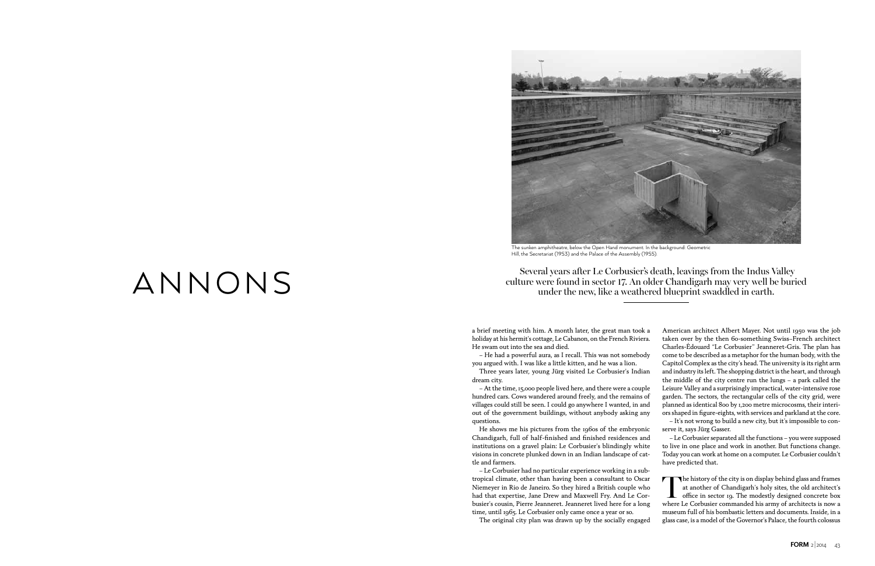## culture were found in sector 17. An older Chandigarh may very well be buried under the new, like a weathered blueprint swaddled in earth.

a brief meeting with him. A month later, the great man took a holiday at his hermit's cottage, Le Cabanon, on the French Riviera. He swam out into the sea and died. – He had a powerful aura, as I recall. This was not somebody you argued with. I was like a little kitten, and he was a lion. Three years later, young Jürg visited Le Corbusier's Indian dream city. – At the time, 15,000 people lived here, and there were a couple hundred cars. Cows wandered around freely, and the remains of villages could still be seen. I could go anywhere I wanted, in and out of the government buildings, without anybody asking any American architect Albert Mayer. Not until 1950 was the job taken over by the then 60-something Swiss–French architect Charles-Édouard "Le Corbusier" Jeanneret-Gris. The plan has come to be described as a metaphor for the human body, with the Capitol Complex as the city's head. The university is its right arm and industry its left. The shopping district is the heart, and through the middle of the city centre run the lungs – a park called the Leisure Valley and a surprisingly impractical, water-intensive rose garden. The sectors, the rectangular cells of the city grid, were planned as identical 800 by 1,200 metre microcosms, their interiors shaped in figure-eights, with services and parkland at the core.

– Le Corbusier had no particular experience working in a subtropical climate, other than having been a consultant to Oscar Niemeyer in Rio de Janeiro. So they hired a British couple who had that expertise, Jane Drew and Maxwell Fry. And Le Corbusier's cousin, Pierre Jeanneret. Jeanneret lived here for a long time, until 1965. Le Corbusier only came once a year or so.

The history of the city is on display behind glass and frames at another of Chandigarh's holy sites, the old architect's **L** office in sector 19. The modestly designed concrete box where Le Corbusier commanded his army of architects is now a museum full of his bombastic letters and documents. Inside, in a glass case, is a model of the Governor's Palace, the fourth colossus

The original city plan was drawn up by the socially engaged

## Several years after Le Corbusier's death, leavings from the Indus Valley<br>culture were found in sector 17. An older Chandigarh may very well be buri<br>under the new like a weathered blueprint swaddled in earth

questions. – It's not wrong to build a new city, but it's impossible to con-

He shows me his pictures from the 1960s of the embryonic Chandigarh, full of half-finished and finished residences and institutions on a gravel plain: Le Corbusier's blindingly white visions in concrete plunked down in an Indian landscape of cattle and farmers. – Le Corbusier separated all the functions – you were supposed to live in one place and work in another. But functions change. Today you can work at home on a computer. Le Corbusier couldn't have predicted that.

serve it, says Jürg Gasser.



The sunken amphitheatre, below the Open Hand monument. In the background: Geometric Hill, the Secretariat (1953) and the Palace of the Assembly (1955).